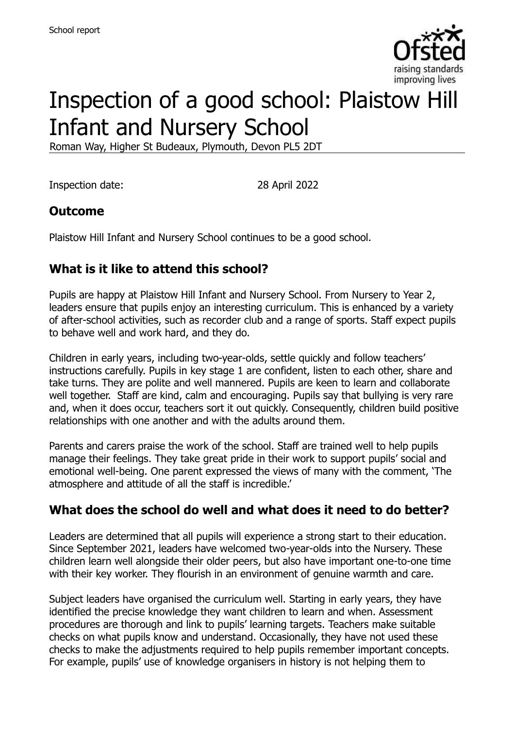

# Inspection of a good school: Plaistow Hill Infant and Nursery School

Roman Way, Higher St Budeaux, Plymouth, Devon PL5 2DT

Inspection date: 28 April 2022

# **Outcome**

Plaistow Hill Infant and Nursery School continues to be a good school.

# **What is it like to attend this school?**

Pupils are happy at Plaistow Hill Infant and Nursery School. From Nursery to Year 2, leaders ensure that pupils enjoy an interesting curriculum. This is enhanced by a variety of after-school activities, such as recorder club and a range of sports. Staff expect pupils to behave well and work hard, and they do.

Children in early years, including two-year-olds, settle quickly and follow teachers' instructions carefully. Pupils in key stage 1 are confident, listen to each other, share and take turns. They are polite and well mannered. Pupils are keen to learn and collaborate well together. Staff are kind, calm and encouraging. Pupils say that bullying is very rare and, when it does occur, teachers sort it out quickly. Consequently, children build positive relationships with one another and with the adults around them.

Parents and carers praise the work of the school. Staff are trained well to help pupils manage their feelings. They take great pride in their work to support pupils' social and emotional well-being. One parent expressed the views of many with the comment, 'The atmosphere and attitude of all the staff is incredible.'

# **What does the school do well and what does it need to do better?**

Leaders are determined that all pupils will experience a strong start to their education. Since September 2021, leaders have welcomed two-year-olds into the Nursery. These children learn well alongside their older peers, but also have important one-to-one time with their key worker. They flourish in an environment of genuine warmth and care.

Subject leaders have organised the curriculum well. Starting in early years, they have identified the precise knowledge they want children to learn and when. Assessment procedures are thorough and link to pupils' learning targets. Teachers make suitable checks on what pupils know and understand. Occasionally, they have not used these checks to make the adjustments required to help pupils remember important concepts. For example, pupils' use of knowledge organisers in history is not helping them to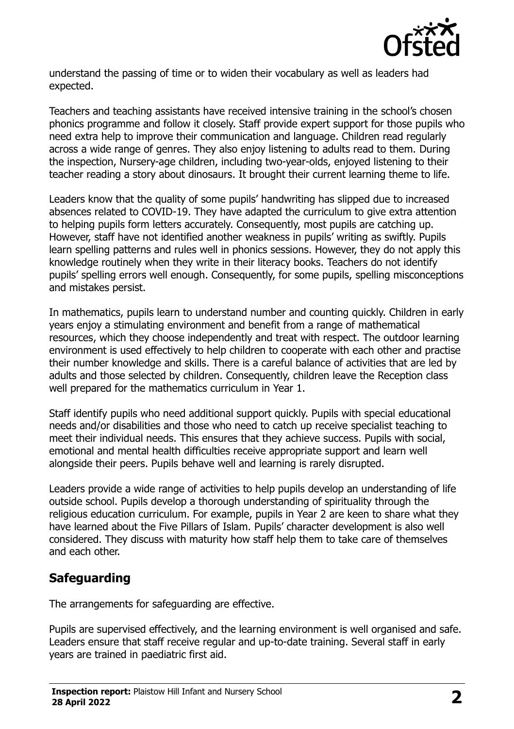

understand the passing of time or to widen their vocabulary as well as leaders had expected.

Teachers and teaching assistants have received intensive training in the school's chosen phonics programme and follow it closely. Staff provide expert support for those pupils who need extra help to improve their communication and language. Children read regularly across a wide range of genres. They also enjoy listening to adults read to them. During the inspection, Nursery-age children, including two-year-olds, enjoyed listening to their teacher reading a story about dinosaurs. It brought their current learning theme to life.

Leaders know that the quality of some pupils' handwriting has slipped due to increased absences related to COVID-19. They have adapted the curriculum to give extra attention to helping pupils form letters accurately. Consequently, most pupils are catching up. However, staff have not identified another weakness in pupils' writing as swiftly. Pupils learn spelling patterns and rules well in phonics sessions. However, they do not apply this knowledge routinely when they write in their literacy books. Teachers do not identify pupils' spelling errors well enough. Consequently, for some pupils, spelling misconceptions and mistakes persist.

In mathematics, pupils learn to understand number and counting quickly. Children in early years enjoy a stimulating environment and benefit from a range of mathematical resources, which they choose independently and treat with respect. The outdoor learning environment is used effectively to help children to cooperate with each other and practise their number knowledge and skills. There is a careful balance of activities that are led by adults and those selected by children. Consequently, children leave the Reception class well prepared for the mathematics curriculum in Year 1.

Staff identify pupils who need additional support quickly. Pupils with special educational needs and/or disabilities and those who need to catch up receive specialist teaching to meet their individual needs. This ensures that they achieve success. Pupils with social, emotional and mental health difficulties receive appropriate support and learn well alongside their peers. Pupils behave well and learning is rarely disrupted.

Leaders provide a wide range of activities to help pupils develop an understanding of life outside school. Pupils develop a thorough understanding of spirituality through the religious education curriculum. For example, pupils in Year 2 are keen to share what they have learned about the Five Pillars of Islam. Pupils' character development is also well considered. They discuss with maturity how staff help them to take care of themselves and each other.

# **Safeguarding**

The arrangements for safeguarding are effective.

Pupils are supervised effectively, and the learning environment is well organised and safe. Leaders ensure that staff receive regular and up-to-date training. Several staff in early years are trained in paediatric first aid.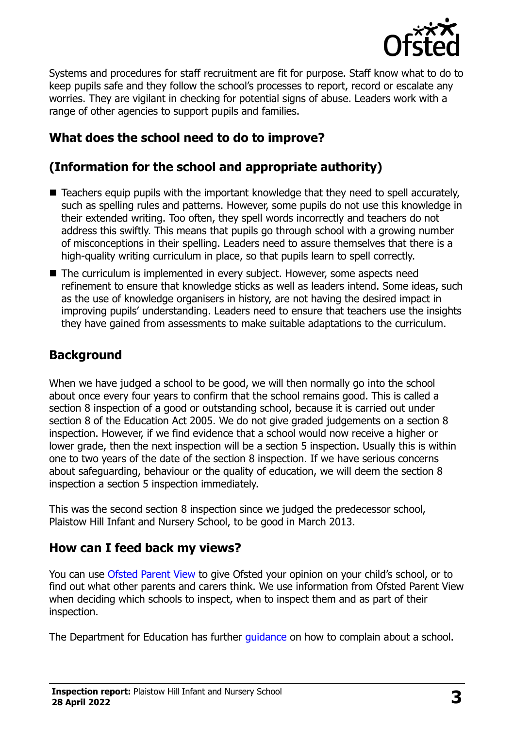

Systems and procedures for staff recruitment are fit for purpose. Staff know what to do to keep pupils safe and they follow the school's processes to report, record or escalate any worries. They are vigilant in checking for potential signs of abuse. Leaders work with a range of other agencies to support pupils and families.

# **What does the school need to do to improve?**

# **(Information for the school and appropriate authority)**

- Teachers equip pupils with the important knowledge that they need to spell accurately, such as spelling rules and patterns. However, some pupils do not use this knowledge in their extended writing. Too often, they spell words incorrectly and teachers do not address this swiftly. This means that pupils go through school with a growing number of misconceptions in their spelling. Leaders need to assure themselves that there is a high-quality writing curriculum in place, so that pupils learn to spell correctly.
- The curriculum is implemented in every subject. However, some aspects need refinement to ensure that knowledge sticks as well as leaders intend. Some ideas, such as the use of knowledge organisers in history, are not having the desired impact in improving pupils' understanding. Leaders need to ensure that teachers use the insights they have gained from assessments to make suitable adaptations to the curriculum.

### **Background**

When we have judged a school to be good, we will then normally go into the school about once every four years to confirm that the school remains good. This is called a section 8 inspection of a good or outstanding school, because it is carried out under section 8 of the Education Act 2005. We do not give graded judgements on a section 8 inspection. However, if we find evidence that a school would now receive a higher or lower grade, then the next inspection will be a section 5 inspection. Usually this is within one to two years of the date of the section 8 inspection. If we have serious concerns about safeguarding, behaviour or the quality of education, we will deem the section 8 inspection a section 5 inspection immediately.

This was the second section 8 inspection since we judged the predecessor school, Plaistow Hill Infant and Nursery School, to be good in March 2013.

#### **How can I feed back my views?**

You can use [Ofsted Parent View](https://parentview.ofsted.gov.uk/) to give Ofsted your opinion on your child's school, or to find out what other parents and carers think. We use information from Ofsted Parent View when deciding which schools to inspect, when to inspect them and as part of their inspection.

The Department for Education has further quidance on how to complain about a school.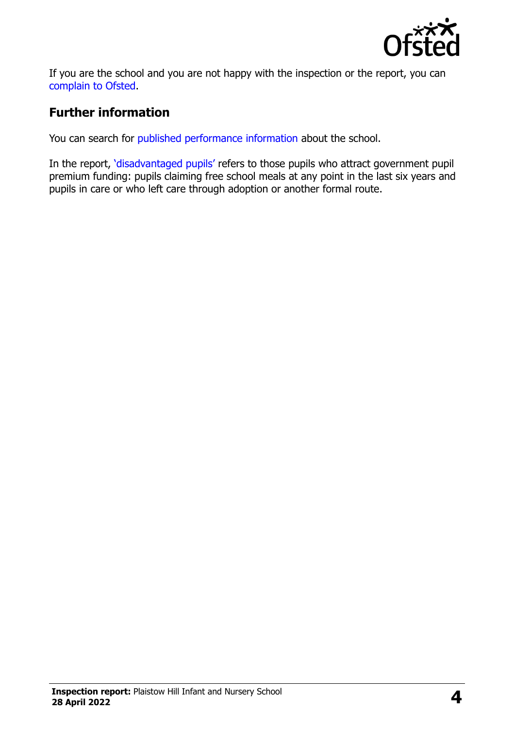

If you are the school and you are not happy with the inspection or the report, you can [complain to Ofsted.](https://www.gov.uk/complain-ofsted-report)

### **Further information**

You can search for [published performance information](http://www.compare-school-performance.service.gov.uk/) about the school.

In the report, '[disadvantaged pupils](http://www.gov.uk/guidance/pupil-premium-information-for-schools-and-alternative-provision-settings)' refers to those pupils who attract government pupil premium funding: pupils claiming free school meals at any point in the last six years and pupils in care or who left care through adoption or another formal route.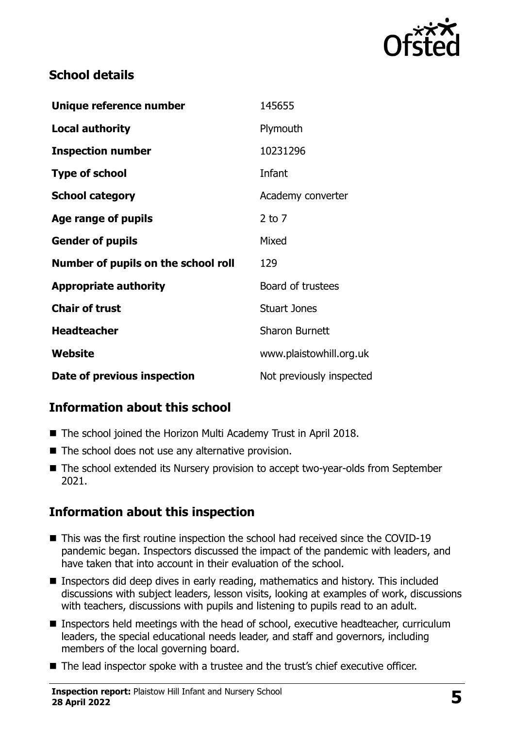

### **School details**

| Unique reference number             | 145655                   |
|-------------------------------------|--------------------------|
| <b>Local authority</b>              | Plymouth                 |
| <b>Inspection number</b>            | 10231296                 |
| <b>Type of school</b>               | Infant                   |
| <b>School category</b>              | Academy converter        |
| Age range of pupils                 | $2$ to $7$               |
| <b>Gender of pupils</b>             | Mixed                    |
| Number of pupils on the school roll | 129                      |
| <b>Appropriate authority</b>        | Board of trustees        |
| <b>Chair of trust</b>               | <b>Stuart Jones</b>      |
| <b>Headteacher</b>                  | <b>Sharon Burnett</b>    |
| Website                             | www.plaistowhill.org.uk  |
| Date of previous inspection         | Not previously inspected |

# **Information about this school**

- The school joined the Horizon Multi Academy Trust in April 2018.
- The school does not use any alternative provision.
- The school extended its Nursery provision to accept two-year-olds from September 2021.

# **Information about this inspection**

- This was the first routine inspection the school had received since the COVID-19 pandemic began. Inspectors discussed the impact of the pandemic with leaders, and have taken that into account in their evaluation of the school.
- Inspectors did deep dives in early reading, mathematics and history. This included discussions with subject leaders, lesson visits, looking at examples of work, discussions with teachers, discussions with pupils and listening to pupils read to an adult.
- Inspectors held meetings with the head of school, executive headteacher, curriculum leaders, the special educational needs leader, and staff and governors, including members of the local governing board.
- The lead inspector spoke with a trustee and the trust's chief executive officer.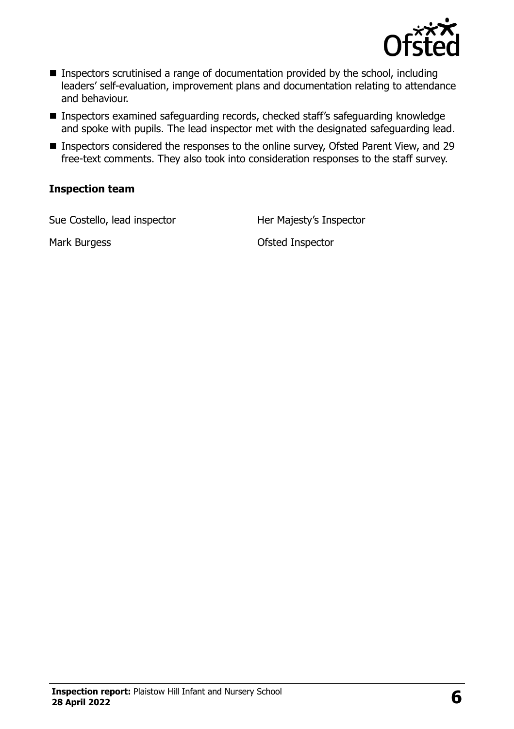

- Inspectors scrutinised a range of documentation provided by the school, including leaders' self-evaluation, improvement plans and documentation relating to attendance and behaviour.
- Inspectors examined safeguarding records, checked staff's safeguarding knowledge and spoke with pupils. The lead inspector met with the designated safeguarding lead.
- Inspectors considered the responses to the online survey, Ofsted Parent View, and 29 free-text comments. They also took into consideration responses to the staff survey.

#### **Inspection team**

Sue Costello, lead inspector **Her Majesty's Inspector** 

Mark Burgess **Mark Burgess Contract Property Ofsted Inspector**